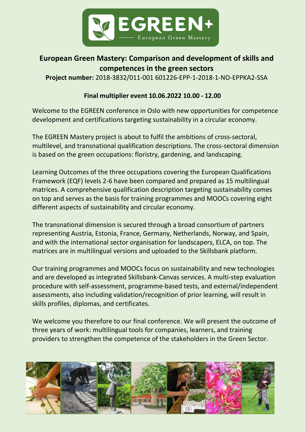

# **European Green Mastery: Comparison and development of skills and competences in the green sectors**

**Project number:** 2018-3832/011-001 601226-EPP-1-2018-1-NO-EPPKA2-SSA

## **Final multiplier event 10.06.2022 10.00 - 12.00**

Welcome to the EGREEN conference in Oslo with new opportunities for competence development and certifications targeting sustainability in a circular economy.

The EGREEN Mastery project is about to fulfil the ambitions of cross-sectoral, multilevel, and transnational qualification descriptions. The cross-sectoral dimension is based on the green occupations: floristry, gardening, and landscaping.

Learning Outcomes of the three occupations covering the European Qualifications Framework (EQF) levels 2-6 have been compared and prepared as 15 multilingual matrices. A comprehensive qualification description targeting sustainability comes on top and serves as the basis for training programmes and MOOCs covering eight different aspects of sustainability and circular economy.

The transnational dimension is secured through a broad consortium of partners representing Austria, Estonia, France, Germany, Netherlands, Norway, and Spain, and with the international sector organisation for landscapers, ELCA, on top. The matrices are in multilingual versions and uploaded to the Skillsbank platform.

Our training programmes and MOOCs focus on sustainability and new technologies and are developed as integrated Skillsbank-Canvas services. A multi-step evaluation procedure with self-assessment, programme-based tests, and external/independent assessments, also including validation/recognition of prior learning, will result in skills profiles, diplomas, and certificates.

We welcome you therefore to our final conference. We will present the outcome of three years of work: multilingual tools for companies, learners, and training providers to strengthen the competence of the stakeholders in the Green Sector.